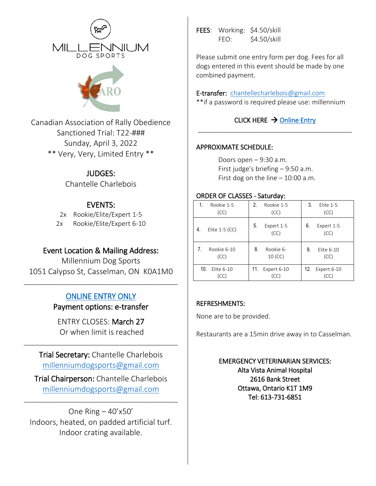



Canadian Association of Rally Obedience Sanctioned Trial: T22-### Sunday, April 3, 2022 \*\* Very, Very, Limited Entry \*\*

## JUDGES:

Chantelle Charlebois

# EVENTS:

2x Rookie/Elite/Expert 1-5 2x Rookie/Elite/Expert 6-10

# Event Location & Mailing Address:

Millennium Dog Sports 1051 Calypso St, Casselman, ON K0A1M0

# [ONLINE ENTRY ONLY](http://millenniumdogsports.ca/registration.jsp)

\_\_\_\_\_\_\_\_\_\_\_\_\_\_\_\_\_\_\_\_\_\_\_\_\_\_\_\_\_\_\_\_\_\_\_\_\_\_\_\_\_\_

Payment options: e-transfer

ENTRY CLOSES: March 27 Or when limit is reached

\_\_\_\_\_\_\_\_\_\_\_\_\_\_\_\_\_\_\_\_\_\_\_\_\_\_\_\_\_\_\_\_\_\_\_\_\_\_\_\_\_\_

Trial Secretary: Chantelle Charlebois [millenniumdogsports@gmail.com](mailto:millenniumdogsports@gmail.com)

Trial Chairperson: Chantelle Charlebois [millenniumdogsports@gmail.com](mailto:millenniumdogsports@gmail.com)

\_\_\_\_\_\_\_\_\_\_\_\_\_\_\_\_\_\_\_\_\_\_\_\_\_\_\_\_\_\_\_\_\_\_\_\_\_\_\_\_\_\_

One Ring  $-40'x50'$ Indoors, heated, on padded artificial turf. Indoor crating available.

FEES: Working: \$4.50/skill FEO: \$4.50/skill

Please submit one entry form per dog. Fees for all dogs entered in this event should be made by one combined payment.

### E-transfer: [chantellecharlebois@gmail.com](mailto:chantellecharlebois@gmail.com)

\*\*if a password is required please use: millennium

#### CLICK HERE  $\rightarrow$  Online Entry \_\_\_\_\_\_\_\_\_\_\_\_\_\_\_\_\_\_\_\_\_\_\_\_\_\_\_\_\_\_\_\_\_\_\_\_\_\_\_\_\_\_

## APPROXIMATE SCHEDULE:

Doors open – 9:30 a.m. First judge's briefing – 9:50 a.m. First dog on the line  $-10:00$  a.m.

## ORDER OF CLASSES - Saturday:

| Rookie 1-5<br>(CC)     | 2.<br>Rookie 1-5<br>(CC) | 3.<br>Elite 1-5<br>(CC)  |
|------------------------|--------------------------|--------------------------|
| Elite $1-5$ (CC)<br>4. | 5.<br>Expert 1-5<br>(CC) | 6.<br>Expert 1-5<br>(CC) |
| Rookie 6-10            | 8.                       | 9.                       |
| 7.                     | Rookie 6-                | Elite 6-10               |
| (CC)                   | $10$ (CC)                | (CC)                     |
| 10.                    | 11.                      | 12.                      |
| Elite 6-10             | Expert 6-10              | Expert 6-10              |
| (CC)                   | (CC)                     | (CC)                     |

### REFRESHMENTS:

None are to be provided.

Restaurants are a 15min drive away in to Casselman.

EMERGENCY VETERINARIAN SERVICES: Alta Vista Animal Hospital 2616 Bank Street Ottawa, Ontario K1T 1M9 Tel: 613-731-6851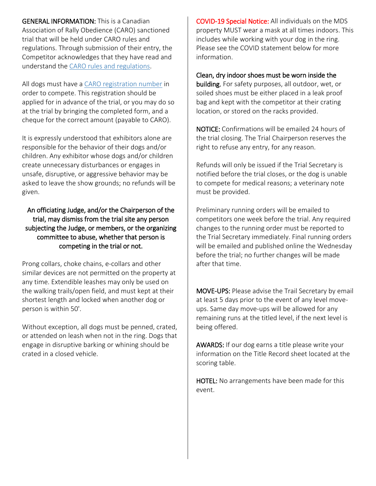GENERAL INFORMATION: This is a Canadian Association of Rally Obedience (CARO) sanctioned trial that will be held under CARO rules and regulations. Through submission of their entry, the Competitor acknowledges that they have read and understand the CARO rules and regulations.

All dogs must have a CARO registration number in order to compete. This registration should be applied for in advance of the trial, or you may do so at the trial by bringing the completed form, and a cheque for the correct amount (payable to CARO).

It is expressly understood that exhibitors alone are responsible for the behavior of their dogs and/or children. Any exhibitor whose dogs and/or children create unnecessary disturbances or engages in unsafe, disruptive, or aggressive behavior may be asked to leave the show grounds; no refunds will be given.

An officiating Judge, and/or the Chairperson of the trial, may dismiss from the trial site any person subjecting the Judge, or members, or the organizing committee to abuse, whether that person is competing in the trial or not.

Prong collars, choke chains, e-collars and other similar devices are not permitted on the property at any time. Extendible leashes may only be used on the walking trails/open field, and must kept at their shortest length and locked when another dog or person is within 50'.

Without exception, all dogs must be penned, crated, or attended on leash when not in the ring. Dogs that engage in disruptive barking or whining should be crated in a closed vehicle.

COVID-19 Special Notice: All individuals on the MDS property MUST wear a mask at all times indoors. This includes while working with your dog in the ring. Please see the COVID statement below for more information.

Clean, dry indoor shoes must be worn inside the building. For safety purposes, all outdoor, wet, or soiled shoes must be either placed in a leak proof bag and kept with the competitor at their crating location, or stored on the racks provided.

NOTICE: Confirmations will be emailed 24 hours of the trial closing. The Trial Chairperson reserves the right to refuse any entry, for any reason.

Refunds will only be issued if the Trial Secretary is notified before the trial closes, or the dog is unable to compete for medical reasons; a veterinary note must be provided.

Preliminary running orders will be emailed to competitors one week before the trial. Any required changes to the running order must be reported to the Trial Secretary immediately. Final running orders will be emailed and published online the Wednesday before the trial; no further changes will be made after that time.

MOVE-UPS: Please advise the Trail Secretary by email at least 5 days prior to the event of any level moveups. Same day move-ups will be allowed for any remaining runs at the titled level, if the next level is being offered.

AWARDS: If our dog earns a title please write your information on the Title Record sheet located at the scoring table.

HOTEL: No arrangements have been made for this event.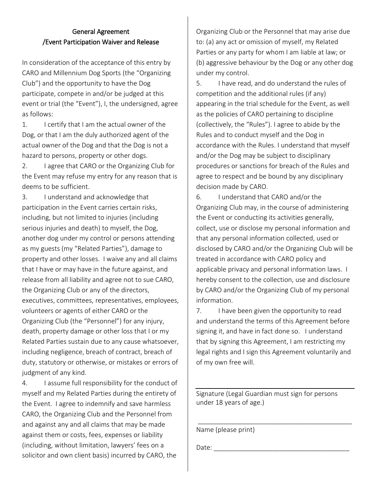#### General Agreement /Event Participation Waiver and Release

In consideration of the acceptance of this entry by CARO and Millennium Dog Sports (the "Organizing Club") and the opportunity to have the Dog participate, compete in and/or be judged at this event or trial (the "Event"), I, the undersigned, agree as follows:

1. I certify that I am the actual owner of the Dog, or that I am the duly authorized agent of the actual owner of the Dog and that the Dog is not a hazard to persons, property or other dogs.

2. I agree that CARO or the Organizing Club for the Event may refuse my entry for any reason that is deems to be sufficient.

3. I understand and acknowledge that participation in the Event carries certain risks, including, but not limited to injuries (including serious injuries and death) to myself, the Dog, another dog under my control or persons attending as my guests (my "Related Parties"), damage to property and other losses. I waive any and all claims that I have or may have in the future against, and release from all liability and agree not to sue CARO, the Organizing Club or any of the directors, executives, committees, representatives, employees, volunteers or agents of either CARO or the Organizing Club (the "Personnel") for any injury, death, property damage or other loss that I or my Related Parties sustain due to any cause whatsoever, including negligence, breach of contract, breach of duty, statutory or otherwise, or mistakes or errors of judgment of any kind.

4. I assume full responsibility for the conduct of myself and my Related Parties during the entirety of the Event. I agree to indemnify and save harmless CARO, the Organizing Club and the Personnel from and against any and all claims that may be made against them or costs, fees, expenses or liability (including, without limitation, lawyers' fees on a solicitor and own client basis) incurred by CARO, the

Organizing Club or the Personnel that may arise due to: (a) any act or omission of myself, my Related Parties or any party for whom I am liable at law; or (b) aggressive behaviour by the Dog or any other dog under my control.

5. I have read, and do understand the rules of competition and the additional rules (if any) appearing in the trial schedule for the Event, as well as the policies of CARO pertaining to discipline (collectively, the "Rules"). I agree to abide by the Rules and to conduct myself and the Dog in accordance with the Rules. I understand that myself and/or the Dog may be subject to disciplinary procedures or sanctions for breach of the Rules and agree to respect and be bound by any disciplinary decision made by CARO.

6. I understand that CARO and/or the Organizing Club may, in the course of administering the Event or conducting its activities generally, collect, use or disclose my personal information and that any personal information collected, used or disclosed by CARO and/or the Organizing Club will be treated in accordance with CARO policy and applicable privacy and personal information laws. I hereby consent to the collection, use and disclosure by CARO and/or the Organizing Club of my personal information.

7. I have been given the opportunity to read and understand the terms of this Agreement before signing it, and have in fact done so. I understand that by signing this Agreement, I am restricting my legal rights and I sign this Agreement voluntarily and of my own free will.

Signature (Legal Guardian must sign for persons under 18 years of age.)

\_\_\_\_\_\_\_\_\_\_\_\_\_\_\_\_\_\_\_\_\_\_\_\_\_\_\_\_\_\_\_\_\_\_\_\_\_\_\_\_\_\_

Name (please print)

Date: